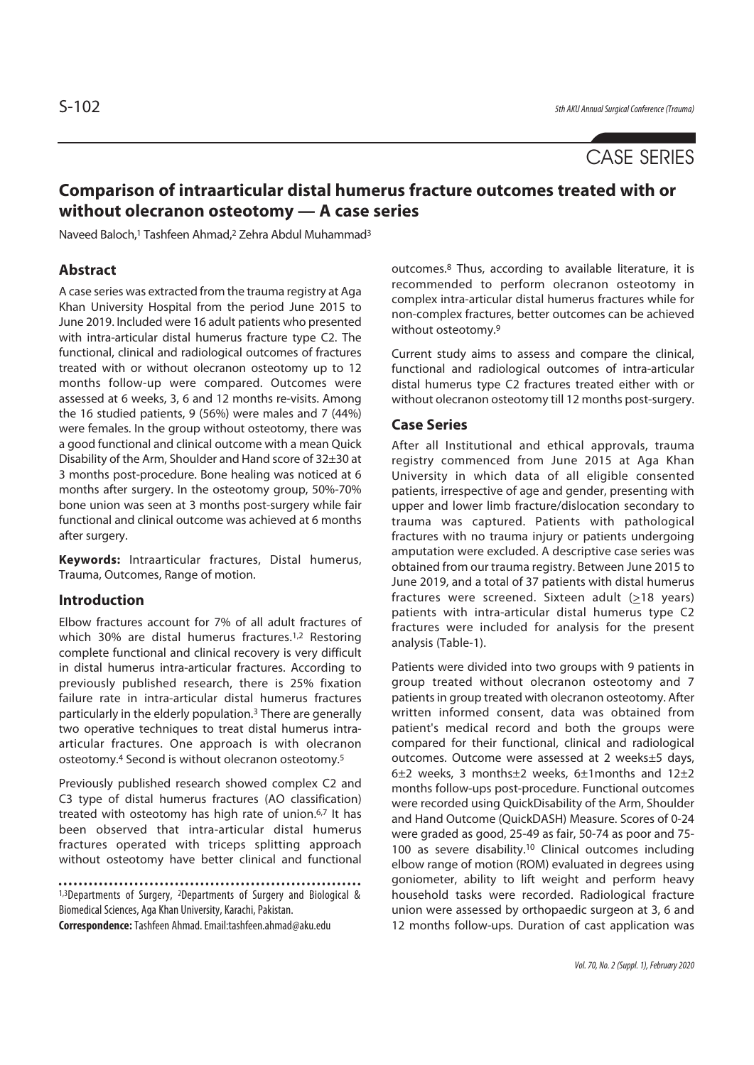# CASE SERIES

## **Comparison of intraarticular distal humerus fracture outcomes treated with or without olecranon osteotomy — A case series**

Naveed Baloch,1 Tashfeen Ahmad,2 Zehra Abdul Muhammad3

### **Abstract**

A case series was extracted from the trauma registry at Aga Khan University Hospital from the period June 2015 to June 2019. Included were 16 adult patients who presented with intra-articular distal humerus fracture type C2. The functional, clinical and radiological outcomes of fractures treated with or without olecranon osteotomy up to 12 months follow-up were compared. Outcomes were assessed at 6 weeks, 3, 6 and 12 months re-visits. Among the 16 studied patients, 9 (56%) were males and 7 (44%) were females. In the group without osteotomy, there was a good functional and clinical outcome with a mean Quick Disability of the Arm, Shoulder and Hand score of 32±30 at 3 months post-procedure. Bone healing was noticed at 6 months after surgery. In the osteotomy group, 50%-70% bone union was seen at 3 months post-surgery while fair functional and clinical outcome was achieved at 6 months after surgery.

**Keywords:** Intraarticular fractures, Distal humerus, Trauma, Outcomes, Range of motion.

### **Introduction**

Elbow fractures account for 7% of all adult fractures of which 30% are distal humerus fractures.<sup>1,2</sup> Restoring complete functional and clinical recovery is very difficult in distal humerus intra-articular fractures. According to previously published research, there is 25% fixation failure rate in intra-articular distal humerus fractures particularly in the elderly population.3 There are generally two operative techniques to treat distal humerus intraarticular fractures. One approach is with olecranon osteotomy.4 Second is without olecranon osteotomy.5

Previously published research showed complex C2 and C3 type of distal humerus fractures (AO classification) treated with osteotomy has high rate of union.6,7 It has been observed that intra-articular distal humerus fractures operated with triceps splitting approach without osteotomy have better clinical and functional

1,3Departments of Surgery, 2Departments of Surgery and Biological & Biomedical Sciences, Aga Khan University, Karachi, Pakistan.

**Correspondence:** Tashfeen Ahmad. Email:tashfeen.ahmad@aku.edu

outcomes.8 Thus, according to available literature, it is recommended to perform olecranon osteotomy in complex intra-articular distal humerus fractures while for non-complex fractures, better outcomes can be achieved without osteotomy.9

Current study aims to assess and compare the clinical, functional and radiological outcomes of intra-articular distal humerus type C2 fractures treated either with or without olecranon osteotomy till 12 months post-surgery.

### **Case Series**

After all Institutional and ethical approvals, trauma registry commenced from June 2015 at Aga Khan University in which data of all eligible consented patients, irrespective of age and gender, presenting with upper and lower limb fracture/dislocation secondary to trauma was captured. Patients with pathological fractures with no trauma injury or patients undergoing amputation were excluded. A descriptive case series was obtained from our trauma registry. Between June 2015 to June 2019, and a total of 37 patients with distal humerus fractures were screened. Sixteen adult  $(218 \text{ years})$ patients with intra-articular distal humerus type C2 fractures were included for analysis for the present analysis (Table-1).

Patients were divided into two groups with 9 patients in group treated without olecranon osteotomy and 7 patients in group treated with olecranon osteotomy. After written informed consent, data was obtained from patient's medical record and both the groups were compared for their functional, clinical and radiological outcomes. Outcome were assessed at 2 weeks±5 days, 6±2 weeks, 3 months±2 weeks, 6±1months and 12±2 months follow-ups post-procedure. Functional outcomes were recorded using QuickDisability of the Arm, Shoulder and Hand Outcome (QuickDASH) Measure. Scores of 0-24 were graded as good, 25-49 as fair, 50-74 as poor and 75- 100 as severe disability.10 Clinical outcomes including elbow range of motion (ROM) evaluated in degrees using goniometer, ability to lift weight and perform heavy household tasks were recorded. Radiological fracture union were assessed by orthopaedic surgeon at 3, 6 and 12 months follow-ups. Duration of cast application was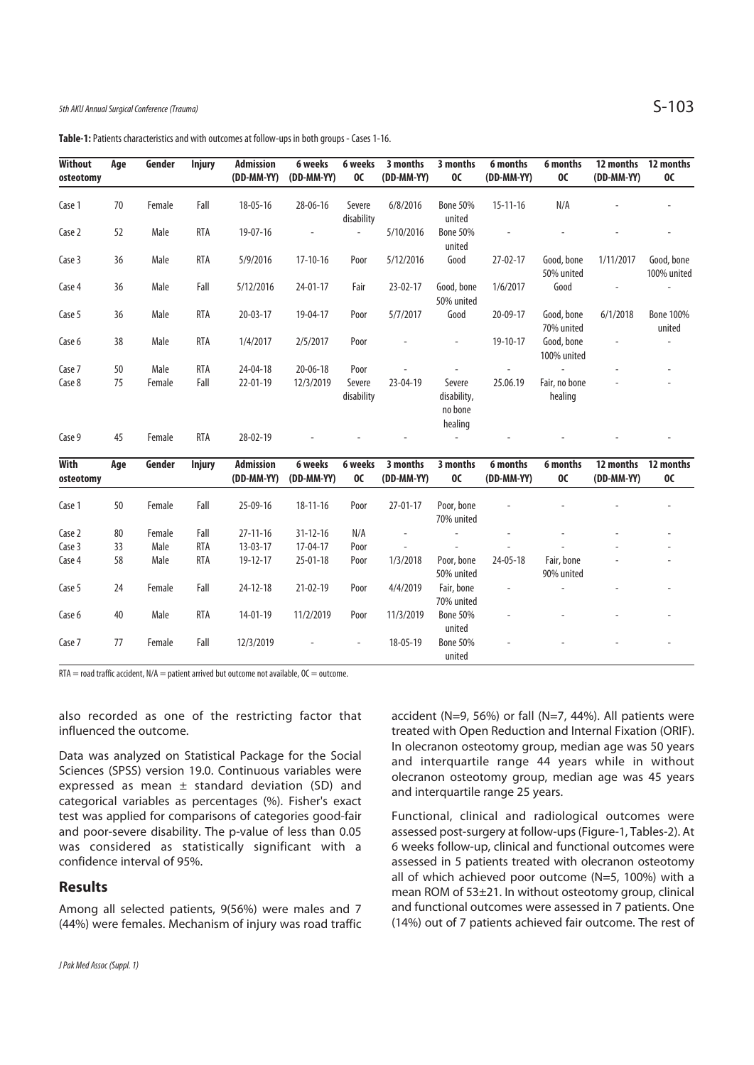**Table-1:** Patients characteristics and with outcomes at follow-ups in both groups - Cases 1-16.

| <b>Without</b><br>osteotomy | Age | Gender | <b>Injury</b> | <b>Admission</b><br>(DD-MM-YY) | 6 weeks<br>(DD-MM-YY)    | 6 weeks<br>OC        | 3 months<br>(DD-MM-YY)   | 3 months<br>OC                              | 6 months<br>(DD-MM-YY)   | 6 months<br>OC            | 12 months<br>(DD-MM-YY) | 12 months<br><b>OC</b>     |
|-----------------------------|-----|--------|---------------|--------------------------------|--------------------------|----------------------|--------------------------|---------------------------------------------|--------------------------|---------------------------|-------------------------|----------------------------|
| Case 1                      | 70  | Female | Fall          | $18 - 05 - 16$                 | $28 - 06 - 16$           | Severe<br>disability | 6/8/2016                 | <b>Bone 50%</b><br>united                   | $15 - 11 - 16$           | N/A                       |                         |                            |
| Case 2                      | 52  | Male   | <b>RTA</b>    | $19 - 07 - 16$                 | $\overline{\phantom{a}}$ | $\blacksquare$       | 5/10/2016                | <b>Bone 50%</b><br>united                   |                          |                           |                         |                            |
| Case 3                      | 36  | Male   | <b>RTA</b>    | 5/9/2016                       | $17-10-16$               | Poor                 | 5/12/2016                | Good                                        | $27 - 02 - 17$           | Good, bone<br>50% united  | 1/11/2017               | Good, bone<br>100% united  |
| Case 4                      | 36  | Male   | Fall          | 5/12/2016                      | 24-01-17                 | Fair                 | 23-02-17                 | Good, bone<br>50% united                    | 1/6/2017                 | Good                      |                         | $\overline{\phantom{a}}$   |
| Case 5                      | 36  | Male   | <b>RTA</b>    | $20 - 03 - 17$                 | 19-04-17                 | Poor                 | 5/7/2017                 | Good                                        | 20-09-17                 | Good, bone<br>70% united  | 6/1/2018                | <b>Bone 100%</b><br>united |
| Case 6                      | 38  | Male   | <b>RTA</b>    | 1/4/2017                       | 2/5/2017                 | Poor                 |                          | $\overline{\phantom{0}}$                    | 19-10-17                 | Good, bone<br>100% united |                         |                            |
| Case 7                      | 50  | Male   | <b>RTA</b>    | 24-04-18                       | $20 - 06 - 18$           | Poor                 | $\overline{\phantom{a}}$ |                                             | $\overline{\phantom{a}}$ |                           |                         |                            |
| Case 8                      | 75  | Female | Fall          | 22-01-19                       | 12/3/2019                | Severe<br>disability | 23-04-19                 | Severe<br>disability,<br>no bone<br>healing | 25.06.19                 | Fair, no bone<br>healing  |                         |                            |
| Case 9                      | 45  | Female | <b>RTA</b>    | 28-02-19                       |                          |                      |                          | $\omega$                                    |                          |                           |                         |                            |
| With<br>osteotomy           | Age | Gender | <b>Injury</b> | <b>Admission</b><br>(DD-MM-YY) | 6 weeks<br>(DD-MM-YY)    | 6 weeks<br><b>OC</b> | 3 months<br>(DD-MM-YY)   | 3 months<br>oc                              | 6 months<br>(DD-MM-YY)   | 6 months<br>OC            | 12 months<br>(DD-MM-YY) | 12 months<br><b>OC</b>     |
| Case 1                      | 50  | Female | Fall          | 25-09-16                       | $18 - 11 - 16$           | Poor                 | $27 - 01 - 17$           | Poor, bone<br>70% united                    |                          |                           |                         |                            |
| Case 2                      | 80  | Female | Fall          | $27 - 11 - 16$                 | $31 - 12 - 16$           | N/A                  | $\overline{\phantom{a}}$ | $\omega$                                    | ÷,                       |                           |                         |                            |
| Case 3                      | 33  | Male   | <b>RTA</b>    | $13 - 03 - 17$                 | 17-04-17                 | Poor                 |                          |                                             |                          |                           |                         |                            |
| Case 4                      | 58  | Male   | <b>RTA</b>    | 19-12-17                       | $25 - 01 - 18$           | Poor                 | 1/3/2018                 | Poor, bone<br>50% united                    | 24-05-18                 | Fair, bone<br>90% united  |                         |                            |
| Case 5                      | 24  | Female | Fall          | 24-12-18                       | 21-02-19                 | Poor                 | 4/4/2019                 | Fair, bone<br>70% united                    |                          | L,                        |                         |                            |
| Case 6                      | 40  | Male   | <b>RTA</b>    | 14-01-19                       | 11/2/2019                | Poor                 | 11/3/2019                | <b>Bone 50%</b><br>united                   |                          |                           |                         |                            |
| Case 7                      | 77  | Female | Fall          | 12/3/2019                      |                          |                      | 18-05-19                 | <b>Bone 50%</b><br>united                   |                          |                           |                         |                            |

 $RTA =$  road traffic accident,  $N/A =$  patient arrived but outcome not available,  $OC =$  outcome.

also recorded as one of the restricting factor that influenced the outcome.

Data was analyzed on Statistical Package for the Social Sciences (SPSS) version 19.0. Continuous variables were expressed as mean  $\pm$  standard deviation (SD) and categorical variables as percentages (%). Fisher's exact test was applied for comparisons of categories good-fair and poor-severe disability. The p-value of less than 0.05 was considered as statistically significant with a confidence interval of 95%.

### **Results**

Among all selected patients, 9(56%) were males and 7 (44%) were females. Mechanism of injury was road traffic accident (N=9, 56%) or fall (N=7, 44%). All patients were treated with Open Reduction and Internal Fixation (ORIF). In olecranon osteotomy group, median age was 50 years and interquartile range 44 years while in without olecranon osteotomy group, median age was 45 years and interquartile range 25 years.

Functional, clinical and radiological outcomes were assessed post-surgery at follow-ups (Figure-1, Tables-2). At 6 weeks follow-up, clinical and functional outcomes were assessed in 5 patients treated with olecranon osteotomy all of which achieved poor outcome (N=5, 100%) with a mean ROM of 53±21. In without osteotomy group, clinical and functional outcomes were assessed in 7 patients. One (14%) out of 7 patients achieved fair outcome. The rest of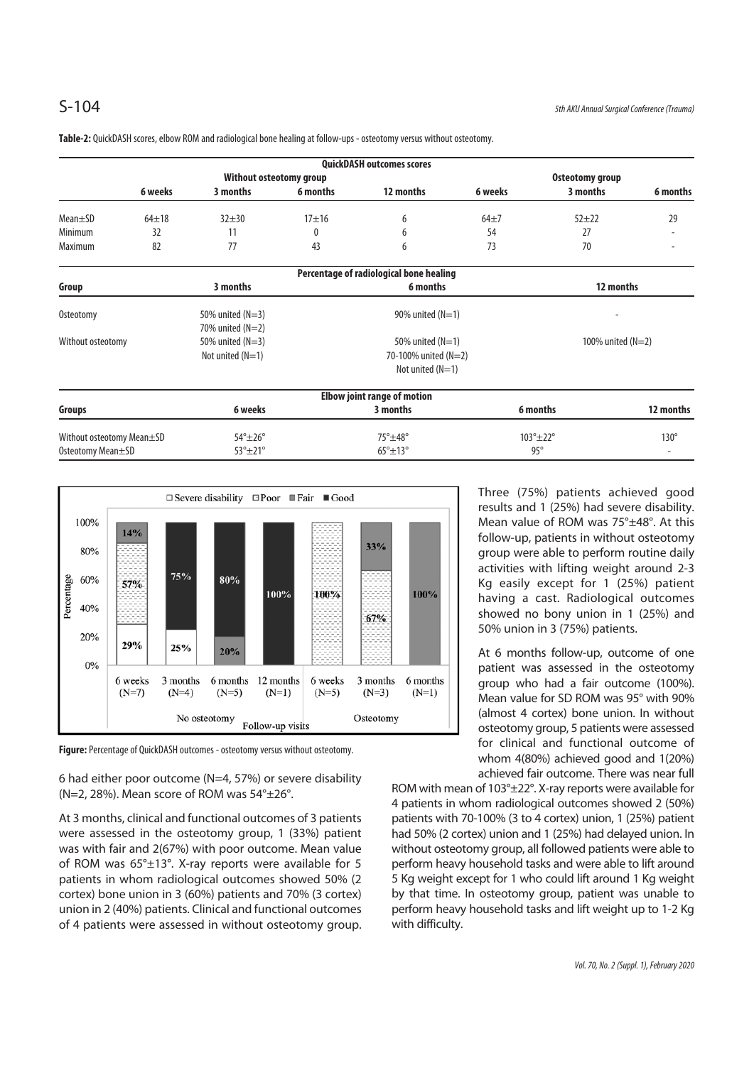|                           |           |                         |                         | <b>QuickDASH outcomes scores</b>        |          |                          |                          |  |
|---------------------------|-----------|-------------------------|-------------------------|-----------------------------------------|----------|--------------------------|--------------------------|--|
|                           |           | Without osteotomy group | Osteotomy group         |                                         |          |                          |                          |  |
|                           | 6 weeks   | 3 months                | 6 months                | 12 months                               | 6 weeks  | 3 months                 | 6 months                 |  |
| $Mean \pm SD$             | $64 + 18$ | $32 + 30$               | $17 + 16$               | 6                                       | $64\pm7$ | $52 + 22$                | 29                       |  |
| Minimum                   | 32        | 11                      | 0                       | 6                                       | 54       | 27                       |                          |  |
| Maximum                   | 82        | 77                      | 43                      | 6                                       | 73       | 70                       | $\overline{\phantom{a}}$ |  |
|                           |           |                         |                         | Percentage of radiological bone healing |          |                          |                          |  |
| Group                     |           | 3 months                |                         | 6 months                                |          | 12 months                |                          |  |
| Osteotomy                 |           | 50% united $(N=3)$      |                         |                                         |          |                          |                          |  |
|                           |           | 70% united $(N=2)$      |                         |                                         |          |                          |                          |  |
| Without osteotomy         |           | 50% united $(N=3)$      |                         | 50% united $(N=1)$                      |          | 100% united $(N=2)$      |                          |  |
|                           |           | Not united $(N=1)$      |                         | 70-100% united (N=2)                    |          |                          |                          |  |
|                           |           |                         |                         | Not united $(N=1)$                      |          |                          |                          |  |
|                           |           |                         |                         | <b>Elbow joint range of motion</b>      |          |                          |                          |  |
| Groups                    |           | 6 weeks                 |                         | 3 months                                |          | 6 months                 | 12 months                |  |
| Without osteotomy Mean±SD |           | $54^\circ \pm 26^\circ$ | $75^\circ \pm 48^\circ$ |                                         |          | $103^\circ \pm 22^\circ$ | $130^\circ$              |  |
| Osteotomy Mean±SD         |           | $53^\circ \pm 21^\circ$ |                         | $65^\circ \pm 13^\circ$                 |          | $95^\circ$               |                          |  |

**Table-2:** QuickDASH scores, elbow ROM and radiological bone healing at follow-ups - osteotomy versus without osteotomy.



**Figure:** Percentage of QuickDASH outcomes - osteotomy versus without osteotomy.

6 had either poor outcome (N=4, 57%) or severe disability (N=2, 28%). Mean score of ROM was  $54^{\circ} \pm 26^{\circ}$ .

At 3 months, clinical and functional outcomes of 3 patients were assessed in the osteotomy group, 1 (33%) patient was with fair and 2(67%) with poor outcome. Mean value of ROM was 65°±13°. X-ray reports were available for 5 patients in whom radiological outcomes showed 50% (2 cortex) bone union in 3 (60%) patients and 70% (3 cortex) union in 2 (40%) patients. Clinical and functional outcomes of 4 patients were assessed in without osteotomy group. Three (75%) patients achieved good results and 1 (25%) had severe disability. Mean value of ROM was 75°±48°. At this follow-up, patients in without osteotomy group were able to perform routine daily activities with lifting weight around 2-3 Kg easily except for 1 (25%) patient having a cast. Radiological outcomes showed no bony union in 1 (25%) and 50% union in 3 (75%) patients.

At 6 months follow-up, outcome of one patient was assessed in the osteotomy group who had a fair outcome (100%). Mean value for SD ROM was 95° with 90% (almost 4 cortex) bone union. In without osteotomy group, 5 patients were assessed for clinical and functional outcome of whom 4(80%) achieved good and 1(20%) achieved fair outcome. There was near full

ROM with mean of 103°±22°. X-ray reports were available for 4 patients in whom radiological outcomes showed 2 (50%) patients with 70-100% (3 to 4 cortex) union, 1 (25%) patient had 50% (2 cortex) union and 1 (25%) had delayed union. In without osteotomy group, all followed patients were able to perform heavy household tasks and were able to lift around 5 Kg weight except for 1 who could lift around 1 Kg weight by that time. In osteotomy group, patient was unable to perform heavy household tasks and lift weight up to 1-2 Kg with difficulty.